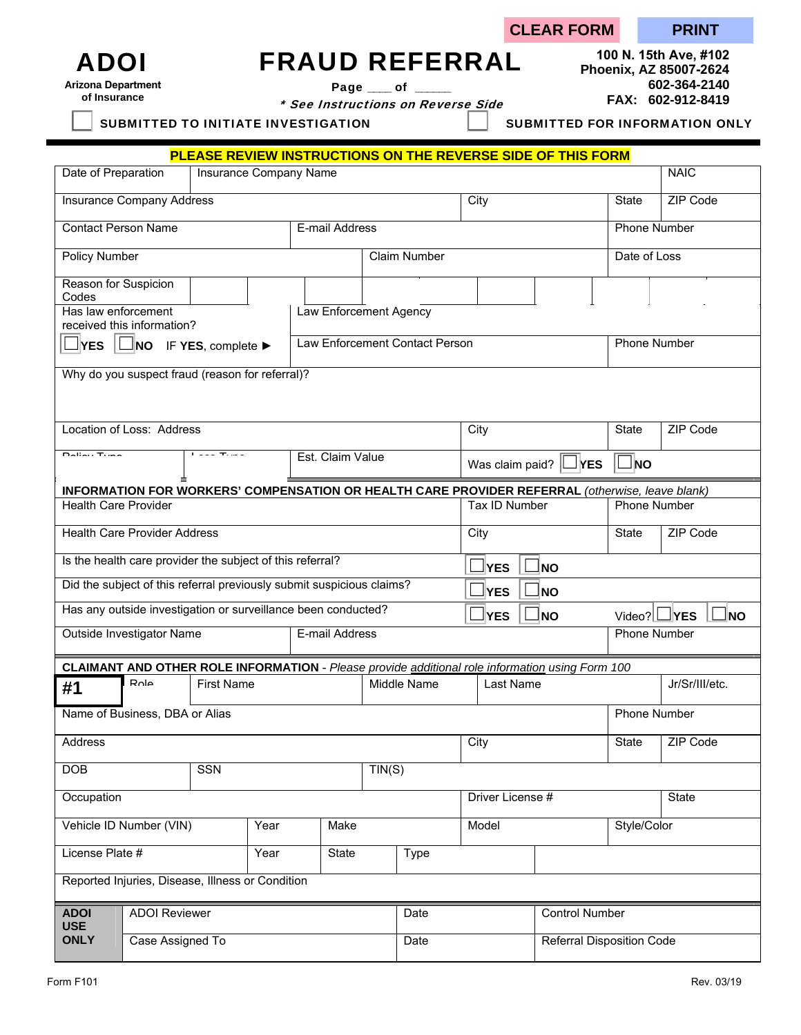**ADOI USE ONLY** 

|                                                   |                                     |                                                 |                                                             | <b>CLEAR FORM</b>                     |                     | <b>PRINT</b>      |
|---------------------------------------------------|-------------------------------------|-------------------------------------------------|-------------------------------------------------------------|---------------------------------------|---------------------|-------------------|
|                                                   |                                     |                                                 | <b>FRAUD REFERRAL</b>                                       |                                       |                     |                   |
| <b>ADOI</b>                                       |                                     | 100 N. 15th Ave, #102<br>Phoenix, AZ 85007-2624 |                                                             |                                       |                     |                   |
| <b>Arizona Department</b>                         |                                     |                                                 | Page $\_\_\$ of $\_\_\_\_\$                                 |                                       |                     | 602-364-2140      |
| of Insurance                                      |                                     |                                                 | * See Instructions on Reverse Side                          |                                       |                     | FAX: 602-912-8419 |
|                                                   | SUBMITTED TO INITIATE INVESTIGATION |                                                 |                                                             | <b>SUBMITTED FOR INFORMATION ONLY</b> |                     |                   |
|                                                   |                                     |                                                 | PLEASE REVIEW INSTRUCTIONS ON THE REVERSE SIDE OF THIS FORM |                                       |                     |                   |
| Date of Preparation                               | Insurance Company Name              |                                                 |                                                             |                                       |                     | <b>NAIC</b>       |
| Insurance Company Address                         |                                     |                                                 | City                                                        |                                       | <b>State</b>        | ZIP Code          |
| <b>Contact Person Name</b>                        |                                     | E-mail Address                                  |                                                             | <b>Phone Number</b>                   |                     |                   |
| Policy Number                                     |                                     |                                                 | Claim Number                                                | Date of Loss                          |                     |                   |
| Reason for Suspicion<br>Codes                     |                                     |                                                 |                                                             |                                       |                     |                   |
| Has law enforcement<br>received this information? |                                     |                                                 | Law Enforcement Agency                                      |                                       |                     |                   |
| $\Box$ YES<br><b>NO</b>                           | IF YES, complete ▶                  |                                                 | Law Enforcement Contact Person                              |                                       | <b>Phone Number</b> |                   |

| <b>Policy Number</b>                                                                                   |                                    |                                | <b>Claim Number</b>    |                     |            | Date of Loss        |          |  |  |
|--------------------------------------------------------------------------------------------------------|------------------------------------|--------------------------------|------------------------|---------------------|------------|---------------------|----------|--|--|
| Reason for Suspicion<br>Codes                                                                          |                                    |                                |                        |                     |            |                     |          |  |  |
| Has law enforcement<br>received this information?                                                      |                                    |                                | Law Enforcement Agency |                     |            |                     |          |  |  |
| $\Box$ YES<br><b>NO</b>                                                                                | IF YES, complete ▶                 | Law Enforcement Contact Person |                        |                     |            | <b>Phone Number</b> |          |  |  |
| Why do you suspect fraud (reason for referral)?                                                        |                                    |                                |                        |                     |            |                     |          |  |  |
|                                                                                                        |                                    |                                |                        |                     |            |                     |          |  |  |
| Location of Loss: Address                                                                              |                                    |                                |                        | City                |            | State               | ZIP Code |  |  |
| $D$ elieu $T$ ung                                                                                      | $L_{\text{max}}$ T <sub>rema</sub> | Est. Claim Value               |                        | Was claim paid?     | <b>YES</b> | ∃NO                 |          |  |  |
| <b>INFORMATION FOR WORKERS' COMPENSATION OR HEALTH CARE PROVIDER REFERRAL (otherwise, leave blank)</b> |                                    |                                |                        |                     |            |                     |          |  |  |
| <b>Health Care Provider</b>                                                                            |                                    | Tax ID Number                  |                        | <b>Phone Number</b> |            |                     |          |  |  |
| <b>Health Care Provider Address</b>                                                                    |                                    | City                           |                        | State               | ZIP Code   |                     |          |  |  |
| Is the health care provider the subject of this referral?                                              |                                    | <b>YES</b>                     | <b>NO</b>              |                     |            |                     |          |  |  |
| Did the subject of this referral previously submit suspicious claims?                                  |                                    |                                | <b>YES</b>             | <b>NO</b>           |            |                     |          |  |  |

Has any outside investigation or surveillance been conducted? **□ YES □NO** Video? □ YES □ NO

**#1**  $\begin{bmatrix} R \cap P \cap P \end{bmatrix}$  First Name  $\begin{bmatrix} R \cap P \end{bmatrix}$  Sr/III/etc.

Address City State ZIP Code

Outside Investigator Name **E-mail Address** Phone Number **Phone Number** 

Name of Business, DBA or Alias Phone Number 2012 12:00 12:00 12:00 12:00 12:00 12:00 12:00 12:00 12:00 12:00 12:00 12:00 12:00 12:00 12:00 12:00 12:00 12:00 12:00 12:00 12:00 12:00 12:00 12:00 12:00 12:00 12:00 12:00 12:00

Occupation State State 3 and State 3 and State 3 and State 3 and State 3 and State 3 and State 3 and State 3 and State 3 and State 3 and State 3 and State 3 and State 3 and State 3 and State 3 and State 3 and State 3 and S

ADOI Reviewer Date Date Control Number

Case Assigned To **Date Date** Referral Disposition Code

Vehicle ID Number (VIN) Year Make Model Style/Color

**CLAIMANT AND OTHER ROLE INFORMATION** - *Please provide additional role information using Form 100*

DOB SSN TIN(S)

License Plate # Year State Type

Reported Injuries, Disease, Illness or Condition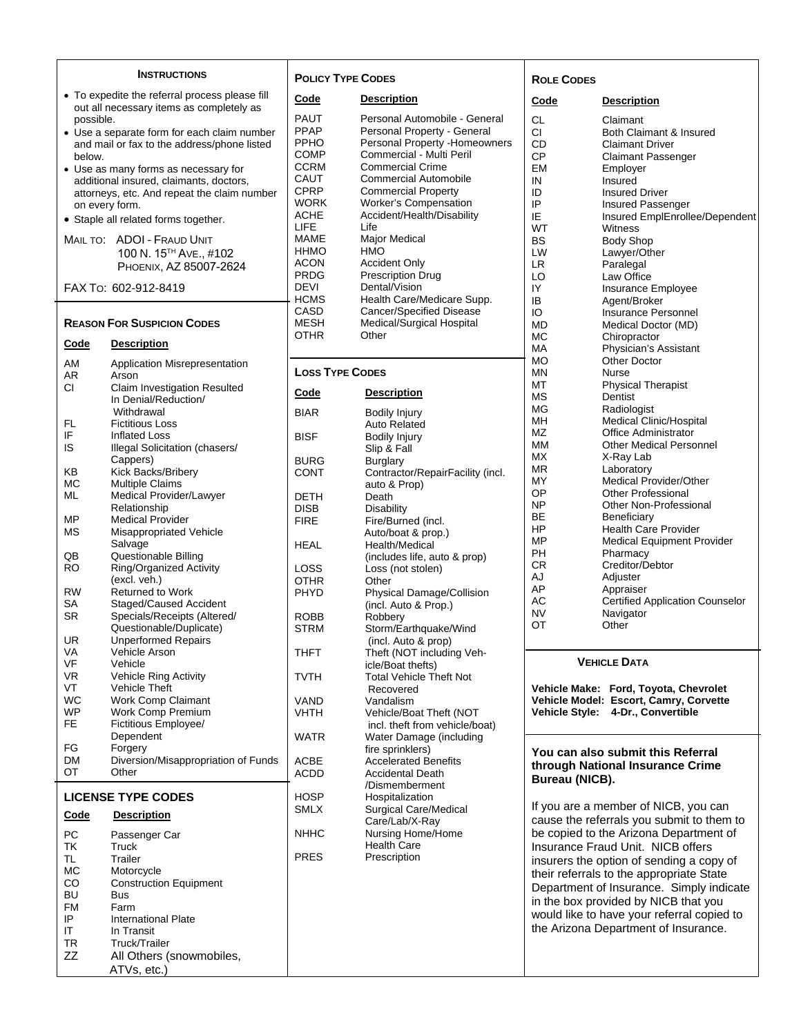#### **INSTRUCTIONS**

- To expedite the referral process please fill out all necessary items as completely as possible.
- Use a separate form for each claim number and mail or fax to the address/phone listed below.
- Use as many forms as necessary for additional insured, claimants, doctors, attorneys, etc. And repeat the claim number on every form.
- Staple all related forms together.
- MAIL TO: ADOI FRAUD UNIT 100 N. 15TH AVE., #102 PHOENIX, AZ 85007-2624

FAX TO: 602-912-8419

### **REASON FOR SUSPICION CODES**

## **Code Description**

| AM              | <b>Application Misrepresentation</b>                  |
|-----------------|-------------------------------------------------------|
| AR<br>СI        | Arson<br>Claim Investigation Resulted                 |
|                 | In Denial/Reduction/                                  |
|                 | Withdrawal                                            |
| FL              | <b>Fictitious Loss</b>                                |
| IF              | Inflated Loss                                         |
| IS              | Illegal Solicitation (chasers/                        |
| KΒ              | Cappers)<br>Kick Backs/Bribery                        |
| МC              | <b>Multiple Claims</b>                                |
| ML              | Medical Provider/Lawyer                               |
|                 | Relationship                                          |
| ΜP              | <b>Medical Provider</b>                               |
| МS              | Misappropriated Vehicle                               |
|                 | Salvage                                               |
| QB              | Questionable Billing                                  |
| RO              | Ring/Organized Activity                               |
|                 | (excl. veh.)                                          |
| RW<br><b>SA</b> | Returned to Work                                      |
| SR              | Staged/Caused Accident<br>Specials/Receipts (Altered/ |
|                 | Questionable/Duplicate)                               |
| UR              | <b>Unperformed Repairs</b>                            |
| VA              | <b>Vehicle Arson</b>                                  |
| VF              | Vehicle                                               |
| VR              | Vehicle Ring Activity                                 |
| VT              | <b>Vehicle Theft</b>                                  |
| WC              | Work Comp Claimant                                    |
| <b>WP</b>       | Work Comp Premium                                     |
| FE              | Fictitious Employee/                                  |
|                 | Dependent                                             |
| FG<br>DM        | Forgery<br>Diversion/Misappropriation of Funds        |
| ОT              | Other                                                 |
|                 |                                                       |
|                 | <b>LICENSE TYPE CODES</b>                             |
| <b>Code</b>     | <b>Description</b>                                    |
| PC              | Passenger Car                                         |
| TK              | Truck                                                 |
| TL              | Trailer                                               |
| МC              | Motorcycle                                            |
| CO              | <b>Construction Equipment</b>                         |
| BU              | Bus                                                   |
| FM              | Farm                                                  |
| IP              | <b>International Plate</b>                            |
| ΙT<br>TR        | In Transit<br>Truck/Trailer                           |
| ZΖ              | All Others (snowmobiles,                              |
|                 |                                                       |

ATVs, etc.)

| <u>Code</u>                                                                                                                                                                      | <u>Description</u>                                                                                                                                                                                                                                                                                                                                                                                                                                                               |
|----------------------------------------------------------------------------------------------------------------------------------------------------------------------------------|----------------------------------------------------------------------------------------------------------------------------------------------------------------------------------------------------------------------------------------------------------------------------------------------------------------------------------------------------------------------------------------------------------------------------------------------------------------------------------|
| PAUT<br><b>PPAP</b><br>PPHO<br><b>COMP</b><br><b>CCRM</b><br>CAUT<br>CPRP<br>WORK<br>ACHE<br>LIFE<br>MAME<br>HHMO<br>ACON<br>PRDG<br>DEVI<br>HCMS<br>CASD<br><b>MESH</b><br>OTHR | Personal Automobile - General<br>Personal Property - General<br>Personal Property - Homeowners<br>Commercial - Multi Peril<br><b>Commercial Crime</b><br><b>Commercial Automobile</b><br><b>Commercial Property</b><br>Worker's Compensation<br>Accident/Health/Disability<br>I ife<br>Major Medical<br>HMO<br><b>Accident Only</b><br><b>Prescription Drug</b><br>Dental/Vision<br>Health Care/Medicare Supp.<br>Cancer/Specified Disease<br>Medical/Surgical Hospital<br>Other |
| <b>LOSS TYPE CODES</b>                                                                                                                                                           |                                                                                                                                                                                                                                                                                                                                                                                                                                                                                  |
| <u>Code</u>                                                                                                                                                                      | <b>Description</b>                                                                                                                                                                                                                                                                                                                                                                                                                                                               |
| BIAR                                                                                                                                                                             | Bodily Injury<br><b>Auto Related</b>                                                                                                                                                                                                                                                                                                                                                                                                                                             |
| BISF                                                                                                                                                                             | <b>Bodily Injury</b><br>Slip & Fall                                                                                                                                                                                                                                                                                                                                                                                                                                              |
| BURG<br>CONT                                                                                                                                                                     | <b>Burglary</b><br>Contractor/RepairFacility (incl.<br>auto & Prop)                                                                                                                                                                                                                                                                                                                                                                                                              |
| DETH                                                                                                                                                                             | Death                                                                                                                                                                                                                                                                                                                                                                                                                                                                            |
| DISB<br><b>FIRE</b>                                                                                                                                                              | Disability<br>Fire/Burned (incl.                                                                                                                                                                                                                                                                                                                                                                                                                                                 |
|                                                                                                                                                                                  | Auto/boat & prop.)                                                                                                                                                                                                                                                                                                                                                                                                                                                               |
| HEAL                                                                                                                                                                             | Health/Medical<br>(includes life, auto & prop)                                                                                                                                                                                                                                                                                                                                                                                                                                   |
| LOSS                                                                                                                                                                             | Loss (not stolen)                                                                                                                                                                                                                                                                                                                                                                                                                                                                |
| OTHR<br>PHYD                                                                                                                                                                     | Other<br>Physical Damage/Collision                                                                                                                                                                                                                                                                                                                                                                                                                                               |
| ROBB                                                                                                                                                                             | (incl. Auto & Prop.)<br>Robbery                                                                                                                                                                                                                                                                                                                                                                                                                                                  |
| STRM                                                                                                                                                                             | Storm/Earthquake/Wind                                                                                                                                                                                                                                                                                                                                                                                                                                                            |
| THFT                                                                                                                                                                             | (incl. Auto & prop)<br>Theft (NOT including Veh-                                                                                                                                                                                                                                                                                                                                                                                                                                 |
| <b>TVTH</b>                                                                                                                                                                      | icle/Boat thefts)<br><b>Total Vehicle Theft Not</b>                                                                                                                                                                                                                                                                                                                                                                                                                              |
| VAND                                                                                                                                                                             | Recovered<br>Vandalism                                                                                                                                                                                                                                                                                                                                                                                                                                                           |
| <b>VHTH</b>                                                                                                                                                                      | Vehicle/Boat Theft (NOT                                                                                                                                                                                                                                                                                                                                                                                                                                                          |
| <b>WATR</b>                                                                                                                                                                      | incl. theft from vehicle/boat)<br>Water Damage (including<br>fire sprinklers)                                                                                                                                                                                                                                                                                                                                                                                                    |
| ACBE                                                                                                                                                                             | <b>Accelerated Benefits</b>                                                                                                                                                                                                                                                                                                                                                                                                                                                      |
| ACDD                                                                                                                                                                             | <b>Accidental Death</b>                                                                                                                                                                                                                                                                                                                                                                                                                                                          |
| <b>HOSP</b>                                                                                                                                                                      | /Dismemberment<br>Hospitalization                                                                                                                                                                                                                                                                                                                                                                                                                                                |
| <b>SMLX</b>                                                                                                                                                                      | <b>Surgical Care/Medical</b>                                                                                                                                                                                                                                                                                                                                                                                                                                                     |
|                                                                                                                                                                                  | Care/Lab/X-Ray                                                                                                                                                                                                                                                                                                                                                                                                                                                                   |
| <b>NHHC</b>                                                                                                                                                                      | Nursing Home/Home                                                                                                                                                                                                                                                                                                                                                                                                                                                                |
| <b>PRES</b>                                                                                                                                                                      | Health Care<br>Prescription                                                                                                                                                                                                                                                                                                                                                                                                                                                      |

**POLICY TYPE CODES**

## **ROLE CODES**

| Code      | <b>Description</b>                                     |
|-----------|--------------------------------------------------------|
| <b>CL</b> | Claimant                                               |
| СI        | Both Claimant & Insured                                |
| CD        | <b>Claimant Driver</b>                                 |
| <b>CP</b> | <b>Claimant Passenger</b>                              |
| EM        | Employer                                               |
| IN        | Insured                                                |
| ID        | <b>Insured Driver</b>                                  |
| IP        | Insured Passenger                                      |
| IE        | Insured EmplEnrollee/Dependent                         |
| WT        | Witness                                                |
| <b>BS</b> | <b>Body Shop</b>                                       |
| LW        | Lawyer/Other                                           |
| LR        | Paralegal                                              |
| LO        | Law Office                                             |
| IY        | Insurance Employee                                     |
| IB        | Agent/Broker                                           |
| IO        | <b>Insurance Personnel</b>                             |
| MD        | Medical Doctor (MD)                                    |
| MC        | Chiropractor                                           |
| МA        | Physician's Assistant                                  |
| МO        | <b>Other Doctor</b>                                    |
| MΝ        | Nurse                                                  |
| МΤ        | <b>Physical Therapist</b>                              |
| ΜS        | Dentist                                                |
| ΜG        | Radiologist                                            |
| ΜН        | <b>Medical Clinic/Hospital</b><br>Office Administrator |
| ΜZ        | <b>Other Medical Personnel</b>                         |
| МM<br>МX  |                                                        |
| ΜR        | X-Ray Lab<br>Laboratory                                |
| MY        | Medical Provider/Other                                 |
| ОP        | Other Professional                                     |
| NΡ        | Other Non-Professional                                 |
| ВE        | Beneficiary                                            |
| ΗP        | <b>Health Care Provider</b>                            |
| MΡ        | <b>Medical Equipment Provider</b>                      |
| PН        | Pharmacy                                               |
| <b>CR</b> | Creditor/Debtor                                        |
| AJ        | Adjuster                                               |
| АP        | Appraiser                                              |
| АC        | <b>Certified Application Counselor</b>                 |
| NV        | Navigator                                              |
| OT        | Other                                                  |

#### **VEHICLE DATA**

**Vehicle Make: Ford, Toyota, Chevrolet Vehicle Model: Escort, Camry, Corvette Vehicle Style: 4-Dr., Convertible** 

#### **You can also submit this Referral through National Insurance Crime Bureau (NICB).**

If you are a member of NICB, you can cause the referrals you submit to them to be copied to the Arizona Department of Insurance Fraud Unit. NICB offers insurers the option of sending a copy of their referrals to the appropriate State Department of Insurance. Simply indicate in the box provided by NICB that you would like to have your referral copied to the Arizona Department of Insurance.